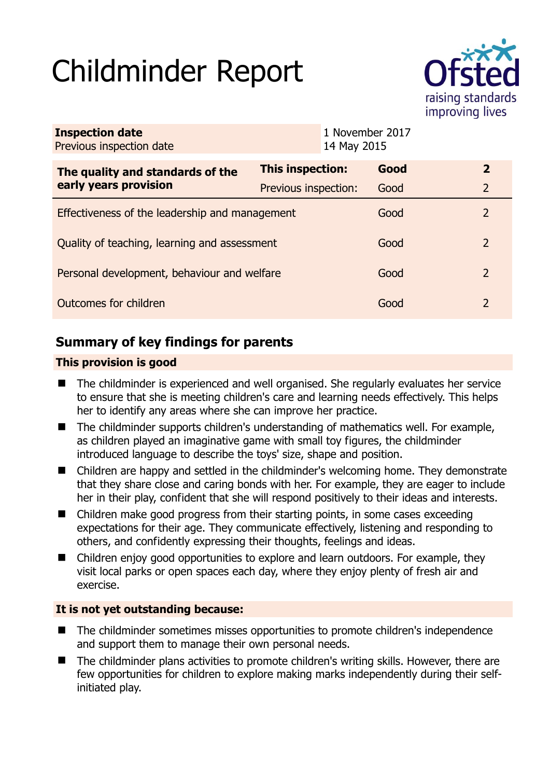# Childminder Report



| <b>Inspection date</b><br>Previous inspection date        | 1 November 2017<br>14 May 2015 |  |      |                |
|-----------------------------------------------------------|--------------------------------|--|------|----------------|
| The quality and standards of the<br>early years provision | This inspection:               |  | Good | $\overline{2}$ |
|                                                           | Previous inspection:           |  | Good | $\overline{2}$ |
| Effectiveness of the leadership and management            |                                |  | Good | 2              |
| Quality of teaching, learning and assessment              |                                |  | Good | $\overline{2}$ |
| Personal development, behaviour and welfare               |                                |  | Good | 2              |
| Outcomes for children                                     |                                |  | Good | 2              |

# **Summary of key findings for parents**

# **This provision is good**

- The childminder is experienced and well organised. She regularly evaluates her service to ensure that she is meeting children's care and learning needs effectively. This helps her to identify any areas where she can improve her practice.
- The childminder supports children's understanding of mathematics well. For example, as children played an imaginative game with small toy figures, the childminder introduced language to describe the toys' size, shape and position.
- Children are happy and settled in the childminder's welcoming home. They demonstrate that they share close and caring bonds with her. For example, they are eager to include her in their play, confident that she will respond positively to their ideas and interests.
- Children make good progress from their starting points, in some cases exceeding expectations for their age. They communicate effectively, listening and responding to others, and confidently expressing their thoughts, feelings and ideas.
- Children enjoy good opportunities to explore and learn outdoors. For example, they visit local parks or open spaces each day, where they enjoy plenty of fresh air and exercise.

# **It is not yet outstanding because:**

- The childminder sometimes misses opportunities to promote children's independence and support them to manage their own personal needs.
- The childminder plans activities to promote children's writing skills. However, there are few opportunities for children to explore making marks independently during their selfinitiated play.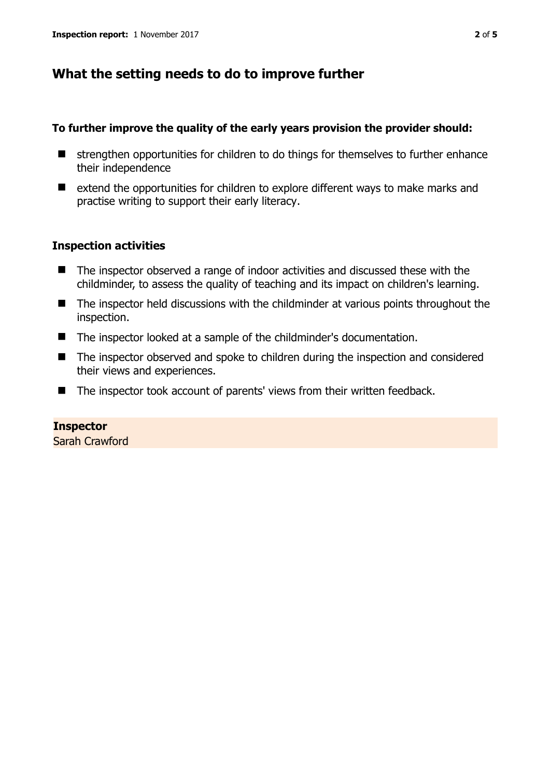# **What the setting needs to do to improve further**

#### **To further improve the quality of the early years provision the provider should:**

- $\blacksquare$  strengthen opportunities for children to do things for themselves to further enhance their independence
- extend the opportunities for children to explore different ways to make marks and practise writing to support their early literacy.

#### **Inspection activities**

- The inspector observed a range of indoor activities and discussed these with the childminder, to assess the quality of teaching and its impact on children's learning.
- The inspector held discussions with the childminder at various points throughout the inspection.
- The inspector looked at a sample of the childminder's documentation.
- The inspector observed and spoke to children during the inspection and considered their views and experiences.
- The inspector took account of parents' views from their written feedback.

#### **Inspector**

Sarah Crawford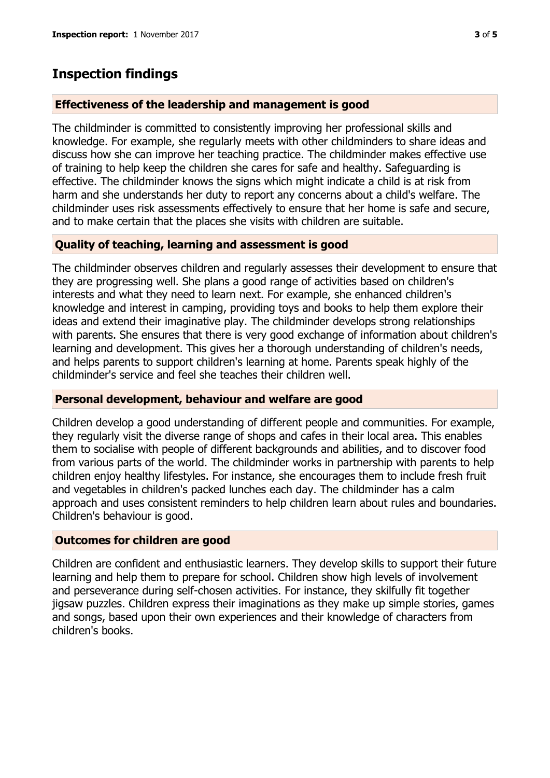# **Inspection findings**

### **Effectiveness of the leadership and management is good**

The childminder is committed to consistently improving her professional skills and knowledge. For example, she regularly meets with other childminders to share ideas and discuss how she can improve her teaching practice. The childminder makes effective use of training to help keep the children she cares for safe and healthy. Safeguarding is effective. The childminder knows the signs which might indicate a child is at risk from harm and she understands her duty to report any concerns about a child's welfare. The childminder uses risk assessments effectively to ensure that her home is safe and secure, and to make certain that the places she visits with children are suitable.

# **Quality of teaching, learning and assessment is good**

The childminder observes children and regularly assesses their development to ensure that they are progressing well. She plans a good range of activities based on children's interests and what they need to learn next. For example, she enhanced children's knowledge and interest in camping, providing toys and books to help them explore their ideas and extend their imaginative play. The childminder develops strong relationships with parents. She ensures that there is very good exchange of information about children's learning and development. This gives her a thorough understanding of children's needs, and helps parents to support children's learning at home. Parents speak highly of the childminder's service and feel she teaches their children well.

# **Personal development, behaviour and welfare are good**

Children develop a good understanding of different people and communities. For example, they regularly visit the diverse range of shops and cafes in their local area. This enables them to socialise with people of different backgrounds and abilities, and to discover food from various parts of the world. The childminder works in partnership with parents to help children enjoy healthy lifestyles. For instance, she encourages them to include fresh fruit and vegetables in children's packed lunches each day. The childminder has a calm approach and uses consistent reminders to help children learn about rules and boundaries. Children's behaviour is good.

# **Outcomes for children are good**

Children are confident and enthusiastic learners. They develop skills to support their future learning and help them to prepare for school. Children show high levels of involvement and perseverance during self-chosen activities. For instance, they skilfully fit together jigsaw puzzles. Children express their imaginations as they make up simple stories, games and songs, based upon their own experiences and their knowledge of characters from children's books.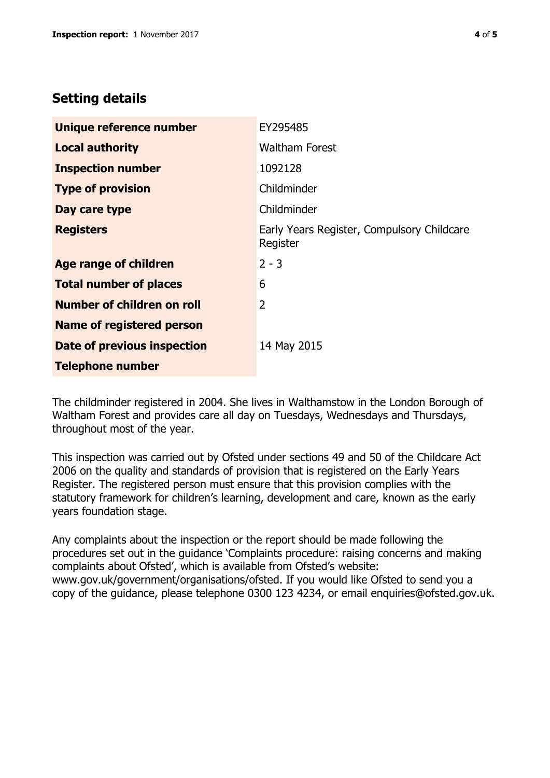# **Setting details**

| Unique reference number          | EY295485                                               |  |
|----------------------------------|--------------------------------------------------------|--|
| <b>Local authority</b>           | <b>Waltham Forest</b>                                  |  |
| <b>Inspection number</b>         | 1092128                                                |  |
| <b>Type of provision</b>         | Childminder                                            |  |
| Day care type                    | Childminder                                            |  |
| <b>Registers</b>                 | Early Years Register, Compulsory Childcare<br>Register |  |
| Age range of children            | $2 - 3$                                                |  |
| <b>Total number of places</b>    | 6                                                      |  |
| Number of children on roll       | $\overline{2}$                                         |  |
| <b>Name of registered person</b> |                                                        |  |
| Date of previous inspection      | 14 May 2015                                            |  |
| <b>Telephone number</b>          |                                                        |  |

The childminder registered in 2004. She lives in Walthamstow in the London Borough of Waltham Forest and provides care all day on Tuesdays, Wednesdays and Thursdays, throughout most of the year.

This inspection was carried out by Ofsted under sections 49 and 50 of the Childcare Act 2006 on the quality and standards of provision that is registered on the Early Years Register. The registered person must ensure that this provision complies with the statutory framework for children's learning, development and care, known as the early years foundation stage.

Any complaints about the inspection or the report should be made following the procedures set out in the guidance 'Complaints procedure: raising concerns and making complaints about Ofsted', which is available from Ofsted's website: www.gov.uk/government/organisations/ofsted. If you would like Ofsted to send you a copy of the guidance, please telephone 0300 123 4234, or email enquiries@ofsted.gov.uk.